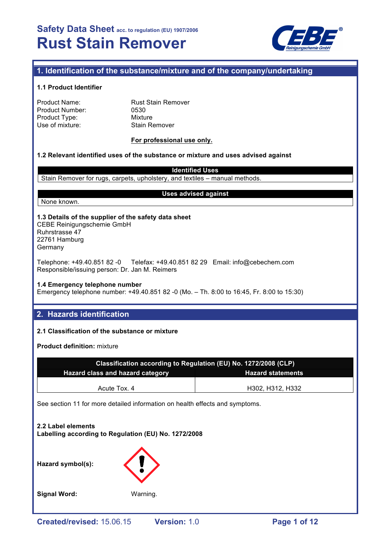

# **1. Identification of the substance/mixture and of the company/undertaking**

## **1.1 Product Identifier**

Rust Stain Remover 0530 Mixture Stain Remover

## **For professional use only.**

# **1.2 Relevant identified uses of the substance or mixture and uses advised against**

**Identified Uses**

Stain Remover for rugs, carpets, upholstery, and textiles – manual methods.

None known.

#### **Uses advised against**

#### **1.3 Details of the supplier of the safety data sheet** CEBE Reinigungschemie GmbH Ruhrstrasse 47 22761 Hamburg

Germany

Telephone: +49.40.851 82 -0 Telefax: +49.40.851 82 29 Email: info@cebechem.com Responsible/issuing person: Dr. Jan M. Reimers

# **1.4 Emergency telephone number**

Emergency telephone number: +49.40.851 82 -0 (Mo. – Th. 8:00 to 16:45, Fr. 8:00 to 15:30)

# **2. Hazards identification**

# **2.1 Classification of the substance or mixture**

**Product definition:** mixture

| Classification according to Regulation (EU) No. 1272/2008 (CLP) |                          |  |  |  |
|-----------------------------------------------------------------|--------------------------|--|--|--|
| <b>Hazard class and hazard category</b>                         | <b>Hazard statements</b> |  |  |  |
| Acute Tox. 4                                                    | H302, H312, H332         |  |  |  |

See section 11 for more detailed information on health effects and symptoms.

# **2.2 Label elements Labelling according to Regulation (EU) No. 1272/2008**





**Signal Word:** Warning.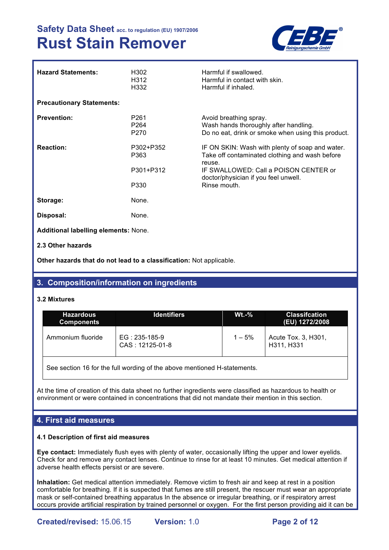

| <b>Hazard Statements:</b>                   | H302<br>H312<br>H332                                     | Harmful if swallowed.<br>Harmful in contact with skin.<br>Harmful if inhaled.                                                                                                                                |
|---------------------------------------------|----------------------------------------------------------|--------------------------------------------------------------------------------------------------------------------------------------------------------------------------------------------------------------|
| <b>Precautionary Statements:</b>            |                                                          |                                                                                                                                                                                                              |
| <b>Prevention:</b>                          | P <sub>261</sub><br>P <sub>264</sub><br>P <sub>270</sub> | Avoid breathing spray.<br>Wash hands thoroughly after handling.<br>Do no eat, drink or smoke when using this product.                                                                                        |
| <b>Reaction:</b>                            | P302+P352<br>P363<br>P301+P312<br>P330                   | IF ON SKIN: Wash with plenty of soap and water.<br>Take off contaminated clothing and wash before<br>reuse.<br>IF SWALLOWED: Call a POISON CENTER or<br>doctor/physician if you feel unwell.<br>Rinse mouth. |
| Storage:                                    | None.                                                    |                                                                                                                                                                                                              |
| Disposal:                                   | None.                                                    |                                                                                                                                                                                                              |
| <b>Additional labelling elements: None.</b> |                                                          |                                                                                                                                                                                                              |

**2.3 Other hazards**

**Other hazards that do not lead to a classification:** Not applicable.

# **3. Composition/information on ingredients**

## **3.2 Mixtures**

| <b>Hazardous</b><br><b>Components</b>                                    | <b>Identifiers</b>               | $Wt.-%$  | <b>Classifcation</b><br>(EU) 1272/2008 |  |
|--------------------------------------------------------------------------|----------------------------------|----------|----------------------------------------|--|
| Ammonium fluoride                                                        | EG: 235-185-9<br>CAS: 12125-01-8 | $1 - 5%$ | Acute Tox. 3, H301,<br>H311, H331      |  |
| See section 16 for the full wording of the above mentioned H-statements. |                                  |          |                                        |  |

At the time of creation of this data sheet no further ingredients were classified as hazardous to health or environment or were contained in concentrations that did not mandate their mention in this section.

# **4. First aid measures**

## **4.1 Description of first aid measures**

**Eye contact:** Immediately flush eyes with plenty of water, occasionally lifting the upper and lower eyelids. Check for and remove any contact lenses. Continue to rinse for at least 10 minutes. Get medical attention if adverse health effects persist or are severe.

**Inhalation:** Get medical attention immediately. Remove victim to fresh air and keep at rest in a position comfortable for breathing. If it is suspected that fumes are still present, the rescuer must wear an appropriate mask or self-contained breathing apparatus In the absence or irregular breathing, or if respiratory arrest occurs provide artificial respiration by trained personnel or oxygen. For the first person providing aid it can be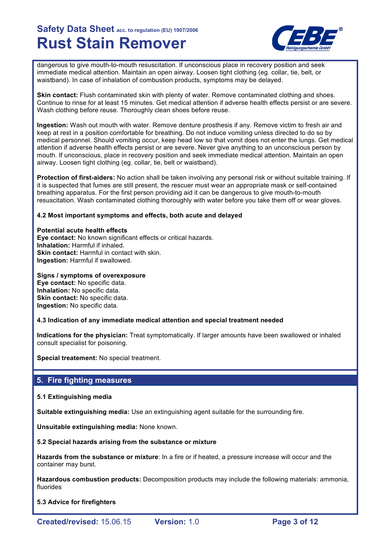

dangerous to give mouth-to-mouth resuscitation. If unconscious place in recovery position and seek immediate medical attention. Maintain an open airway. Loosen tight clothing (eg. collar, tie, belt, or waistband). In case of inhalation of combustion products, symptoms may be delayed.

**Skin contact:** Flush contaminated skin with plenty of water. Remove contaminated clothing and shoes. Continue to rinse for at least 15 minutes. Get medical attention if adverse health effects persist or are severe. Wash clothing before reuse. Thoroughly clean shoes before reuse.

**Ingestion:** Wash out mouth with water. Remove denture prosthesis if any. Remove victim to fresh air and keep at rest in a position comfortable for breathing. Do not induce vomiting unless directed to do so by medical personnel. Should vomiting occur, keep head low so that vomit does not enter the lungs. Get medical attention if adverse health effects persist or are severe. Never give anything to an unconscious person by mouth. If unconscious, place in recovery position and seek immediate medical attention. Maintain an open airway. Loosen tight clothing (eg. collar, tie, belt or waistband).

**Protection of first-aiders:** No action shall be taken involving any personal risk or without suitable training. If it is suspected that fumes are still present, the rescuer must wear an appropriate mask or self-contained breathing apparatus. For the first person providing aid it can be dangerous to give mouth-to-mouth resuscitation. Wash contaminated clothing thoroughly with water before you take them off or wear gloves.

## **4.2 Most important symptoms and effects, both acute and delayed**

**Potential acute health effects Eye contact:** No known significant effects or critical hazards. **Inhalation:** Harmful if inhaled. **Skin contact: Harmful in contact with skin. Ingestion:** Harmful if swallowed.

**Signs / symptoms of overexposure Eye contact:** No specific data.

**Inhalation:** No specific data. **Skin contact:** No specific data. **Ingestion:** No specific data.

## **4.3 Indication of any immediate medical attention and special treatment needed**

**Indications for the physician:** Treat symptomatically. If larger amounts have been swallowed or inhaled consult specialist for poisoning.

**Special treatement:** No special treatment.

# **5. Fire fighting measures**

## **5.1 Extinguishing media**

**Suitable extinguishing media:** Use an extinguishing agent suitable for the surrounding fire.

**Unsuitable extinguishing media:** None known.

## **5.2 Special hazards arising from the substance or mixture**

**Hazards from the substance or mixture**: In a fire or if heated, a pressure increase will occur and the container may burst.

**Hazardous combustion products:** Decomposition products may include the following materials: ammonia, fluorides

**5.3 Advice for firefighters**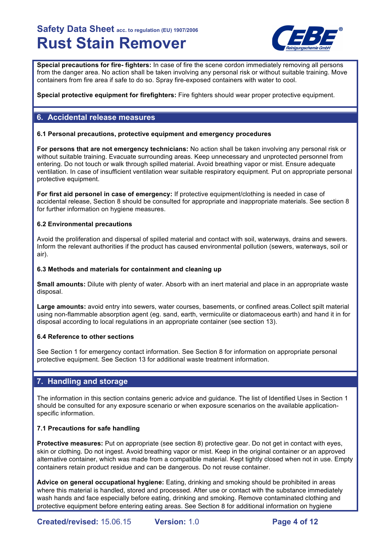

**Special precautions for fire- fighters:** In case of fire the scene cordon immediately removing all persons from the danger area. No action shall be taken involving any personal risk or without suitable training. Move containers from fire area if safe to do so. Spray fire-exposed containers with water to cool.

**Special protective equipment for firefighters:** Fire fighters should wear proper protective equipment.

# **6. Accidental release measures**

## **6.1 Personal precautions, protective equipment and emergency procedures**

**For persons that are not emergency technicians:** No action shall be taken involving any personal risk or without suitable training. Evacuate surrounding areas. Keep unnecessary and unprotected personnel from entering. Do not touch or walk through spilled material. Avoid breathing vapor or mist. Ensure adequate ventilation. In case of insufficient ventilation wear suitable respiratory equipment. Put on appropriate personal protective equipment.

**For first aid personel in case of emergency:** If protective equipment/clothing is needed in case of accidental release, Section 8 should be consulted for appropriate and inappropriate materials. See section 8 for further information on hygiene measures.

## **6.2 Environmental precautions**

Avoid the proliferation and dispersal of spilled material and contact with soil, waterways, drains and sewers. Inform the relevant authorities if the product has caused environmental pollution (sewers, waterways, soil or air).

## **6.3 Methods and materials for containment and cleaning up**

**Small amounts:** Dilute with plenty of water. Absorb with an inert material and place in an appropriate waste disposal.

**Large amounts:** avoid entry into sewers, water courses, basements, or confined areas.Collect spilt material using non-flammable absorption agent (eg. sand, earth, vermiculite or diatomaceous earth) and hand it in for disposal according to local regulations in an appropriate container (see section 13).

## **6.4 Reference to other sections**

See Section 1 for emergency contact information. See Section 8 for information on appropriate personal protective equipment. See Section 13 for additional waste treatment information.

# **7. Handling and storage**

The information in this section contains generic advice and guidance. The list of Identified Uses in Section 1 should be consulted for any exposure scenario or when exposure scenarios on the available applicationspecific information.

## **7.1 Precautions for safe handling**

**Protective measures:** Put on appropriate (see section 8) protective gear. Do not get in contact with eyes, skin or clothing. Do not ingest. Avoid breathing vapor or mist. Keep in the original container or an approved alternative container, which was made from a compatible material. Kept tightly closed when not in use. Empty containers retain product residue and can be dangerous. Do not reuse container.

**Advice on general occupational hygiene:** Eating, drinking and smoking should be prohibited in areas where this material is handled, stored and processed. After use or contact with the substance immediately wash hands and face especially before eating, drinking and smoking. Remove contaminated clothing and protective equipment before entering eating areas. See Section 8 for additional information on hygiene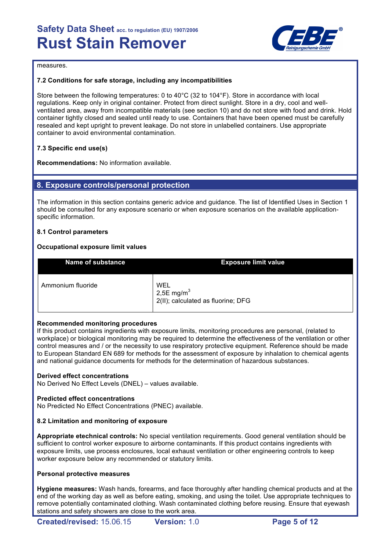

measures.

# **7.2 Conditions for safe storage, including any incompatibilities**

Store between the following temperatures: 0 to 40°C (32 to 104°F). Store in accordance with local regulations. Keep only in original container. Protect from direct sunlight. Store in a dry, cool and wellventilated area, away from incompatible materials (see section 10) and do not store with food and drink. Hold container tightly closed and sealed until ready to use. Containers that have been opened must be carefully resealed and kept upright to prevent leakage. Do not store in unlabelled containers. Use appropriate container to avoid environmental contamination.

# **7.3 Specific end use(s)**

**Recommendations:** No information available.

# **8. Exposure controls/personal protection**

The information in this section contains generic advice and guidance. The list of Identified Uses in Section 1 should be consulted for any exposure scenario or when exposure scenarios on the available applicationspecific information.

## **8.1 Control parameters**

## **Occupational exposure limit values**

| <b>Name of substance</b> | <b>Exposure limit value</b>                                |
|--------------------------|------------------------------------------------------------|
| Ammonium fluoride        | WEL<br>2,5E mg/m $3$<br>2(II); calculated as fluorine; DFG |

## **Recommended monitoring procedures**

If this product contains ingredients with exposure limits, monitoring procedures are personal, (related to workplace) or biological monitoring may be required to determine the effectiveness of the ventilation or other control measures and / or the necessity to use respiratory protective equipment. Reference should be made to European Standard EN 689 for methods for the assessment of exposure by inhalation to chemical agents and national guidance documents for methods for the determination of hazardous substances.

## **Derived effect concentrations**

No Derived No Effect Levels (DNEL) – values available.

## **Predicted effect concentrations**

No Predicted No Effect Concentrations (PNEC) available.

## **8.2 Limitation and monitoring of exposure**

**Appropriate etechnical controls:** No special ventilation requirements. Good general ventilation should be sufficient to control worker exposure to airborne contaminants. If this product contains ingredients with exposure limits, use process enclosures, local exhaust ventilation or other engineering controls to keep worker exposure below any recommended or statutory limits.

#### **Personal protective measures**

**Hygiene measures:** Wash hands, forearms, and face thoroughly after handling chemical products and at the end of the working day as well as before eating, smoking, and using the toilet. Use appropriate techniques to remove potentially contaminated clothing. Wash contaminated clothing before reusing. Ensure that eyewash stations and safety showers are close to the work area.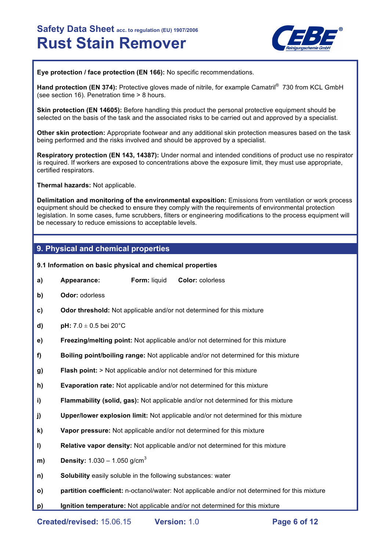

**Eye protection / face protection (EN 166):** No specific recommendations.

Hand protection (EN 374): Protective gloves made of nitrile, for example Camatril<sup>®</sup> 730 from KCL GmbH (see section 16). Penetration time > 8 hours.

**Skin protection (EN 14605):** Before handling this product the personal protective equipment should be selected on the basis of the task and the associated risks to be carried out and approved by a specialist.

**Other skin protection:** Appropriate footwear and any additional skin protection measures based on the task being performed and the risks involved and should be approved by a specialist.

**Respiratory protection (EN 143, 14387):** Under normal and intended conditions of product use no respirator is required. If workers are exposed to concentrations above the exposure limit, they must use appropriate, certified respirators.

**Thermal hazards:** Not applicable.

**Delimitation and monitoring of the environmental exposition:** Emissions from ventilation or work process equipment should be checked to ensure they comply with the requirements of environmental protection legislation. In some cases, fume scrubbers, filters or engineering modifications to the process equipment will be necessary to reduce emissions to acceptable levels.

# **9. Physical and chemical properties**

- **9.1 Information on basic physical and chemical properties**
- **a) Appearance: Form:** liquid **Color:** colorless
- **b) Odor:** odorless
- **c) Odor threshold:** Not applicable and/or not determined for this mixture
- **d) pH:** 7.0 ± 0.5 bei 20°C
- **e) Freezing/melting point:** Not applicable and/or not determined for this mixture
- **f) Boiling point/boiling range:** Not applicable and/or not determined for this mixture
- **g) Flash point:** > Not applicable and/or not determined for this mixture
- **h) Evaporation rate:** Not applicable and/or not determined for this mixture
- **i) Flammability (solid, gas):** Not applicable and/or not determined for this mixture
- **j) Upper/lower explosion limit:** Not applicable and/or not determined for this mixture
- **k) Vapor pressure:** Not applicable and/or not determined for this mixture
- **l) Relative vapor density:** Not applicable and/or not determined for this mixture
- **m) Density:** 1.030 1.050 g/cm<sup>3</sup>
- **n) Solubility** easily soluble in the following substances: water
- **o) partition coefficient:** n-octanol/water: Not applicable and/or not determined for this mixture
- **p) Ignition temperature:** Not applicable and/or not determined for this mixture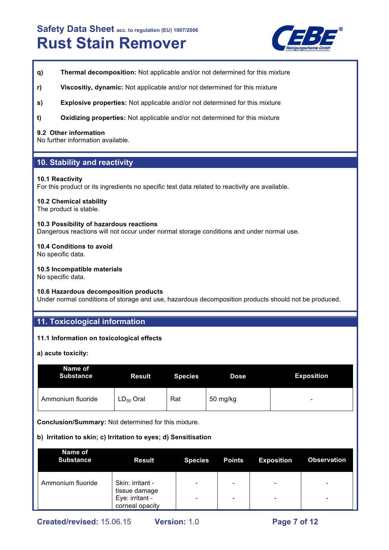

- **q) Thermal decomposition:** Not applicable and/or not determined for this mixture
- **r) Viscositiy, dynamic:** Not applicable and/or not determined for this mixture
- **s) Explosive properties:** Not applicable and/or not determined for this mixture
- **t) Oxidizing properties:** Not applicable and/or not determined for this mixture

#### **9.2 Other information**

No further information available.

# **10. Stability and reactivity**

#### **10.1 Reactivity**

For this product or its ingredients no specific test data related to reactivity are available.

#### **10.2 Chemical stability**

The product is stable.

#### **10.3 Possibility of hazardous reactions**

Dangerous reactions will not occur under normal storage conditions and under normal use.

#### **10.4 Conditions to avoid**

No specific data.

## **10.5 Incompatible materials**

No specific data.

#### **10.6 Hazardous decomposition products**

Under normal conditions of storage and use, hazardous decomposition products should not be produced.

# **11. Toxicological information**

## **11.1 Information on toxicological effects**

**a) acute toxicity:**

| Name of<br><b>Substance</b> | <b>Result</b>  | <b>Species</b> | <b>Dose</b> | <b>Exposition</b> |
|-----------------------------|----------------|----------------|-------------|-------------------|
| Ammonium fluoride           | $LD_{50}$ Oral | Rat            | 50 mg/kg    | -                 |

**Conclusion/Summary:** Not determined for this mixture.

## **b) Irritation to skin; c) Irritation to eyes; d) Sensitisation**

| Name of<br><b>Substance</b> | <b>Result</b>                                                           | <b>Species</b> | <b>Points</b>                                                | <b>Exposition</b>                                    | <b>Observation</b>                                   |
|-----------------------------|-------------------------------------------------------------------------|----------------|--------------------------------------------------------------|------------------------------------------------------|------------------------------------------------------|
| Ammonium fluoride           | Skin: irritant -<br>tissue damage<br>Eye: irritant -<br>corneal opacity | -              | $\qquad \qquad \blacksquare$<br>$\qquad \qquad \blacksquare$ | $\overline{\phantom{0}}$<br>$\overline{\phantom{0}}$ | $\overline{\phantom{0}}$<br>$\overline{\phantom{0}}$ |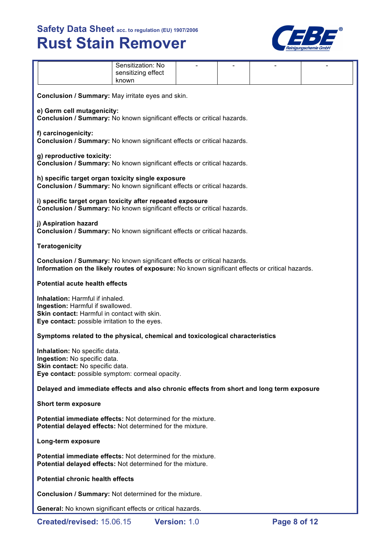

|                                                                                                                                                                            | Sensitization: No<br>sensitizing effect<br>known  |  |  |  |  |  |  |
|----------------------------------------------------------------------------------------------------------------------------------------------------------------------------|---------------------------------------------------|--|--|--|--|--|--|
|                                                                                                                                                                            | Conclusion / Summary: May irritate eyes and skin. |  |  |  |  |  |  |
| e) Germ cell mutagenicity:<br>Conclusion / Summary: No known significant effects or critical hazards.                                                                      |                                                   |  |  |  |  |  |  |
| f) carcinogenicity:<br>Conclusion / Summary: No known significant effects or critical hazards.                                                                             |                                                   |  |  |  |  |  |  |
| g) reproductive toxicity:<br>Conclusion / Summary: No known significant effects or critical hazards.                                                                       |                                                   |  |  |  |  |  |  |
| h) specific target organ toxicity single exposure<br>Conclusion / Summary: No known significant effects or critical hazards.                                               |                                                   |  |  |  |  |  |  |
| i) specific target organ toxicity after repeated exposure<br>Conclusion / Summary: No known significant effects or critical hazards.                                       |                                                   |  |  |  |  |  |  |
| j) Aspiration hazard<br>Conclusion / Summary: No known significant effects or critical hazards.                                                                            |                                                   |  |  |  |  |  |  |
| <b>Teratogenicity</b>                                                                                                                                                      |                                                   |  |  |  |  |  |  |
| Conclusion / Summary: No known significant effects or critical hazards.<br>Information on the likely routes of exposure: No known significant effects or critical hazards. |                                                   |  |  |  |  |  |  |
| <b>Potential acute health effects</b>                                                                                                                                      |                                                   |  |  |  |  |  |  |
| Inhalation: Harmful if inhaled.<br>Ingestion: Harmful if swallowed.<br>Skin contact: Harmful in contact with skin.<br>Eye contact: possible irritation to the eyes.        |                                                   |  |  |  |  |  |  |
| Symptoms related to the physical, chemical and toxicological characteristics                                                                                               |                                                   |  |  |  |  |  |  |
| Inhalation: No specific data.<br>Ingestion: No specific data.<br>Skin contact: No specific data.<br>Eye contact: possible symptom: cormeal opacity.                        |                                                   |  |  |  |  |  |  |
| Delayed and immediate effects and also chronic effects from short and long term exposure                                                                                   |                                                   |  |  |  |  |  |  |
| Short term exposure                                                                                                                                                        |                                                   |  |  |  |  |  |  |
| Potential immediate effects: Not determined for the mixture.<br>Potential delayed effects: Not determined for the mixture.                                                 |                                                   |  |  |  |  |  |  |
| Long-term exposure                                                                                                                                                         |                                                   |  |  |  |  |  |  |
| Potential immediate effects: Not determined for the mixture.<br>Potential delayed effects: Not determined for the mixture.                                                 |                                                   |  |  |  |  |  |  |
| <b>Potential chronic health effects</b>                                                                                                                                    |                                                   |  |  |  |  |  |  |
| <b>Conclusion / Summary: Not determined for the mixture.</b>                                                                                                               |                                                   |  |  |  |  |  |  |
| <b>General:</b> No known significant effects or critical hazards.                                                                                                          |                                                   |  |  |  |  |  |  |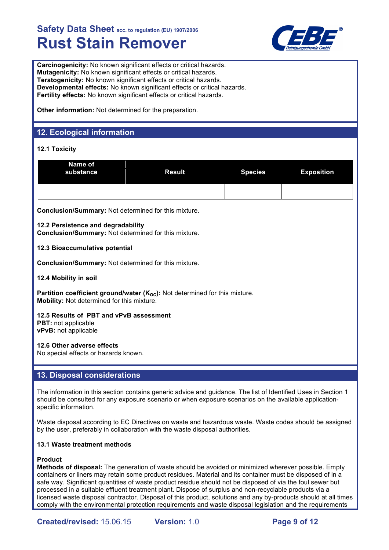

**Carcinogenicity:** No known significant effects or critical hazards. **Mutagenicity:** No known significant effects or critical hazards. **Teratogenicity:** No known significant effects or critical hazards. **Developmental effects:** No known significant effects or critical hazards. **Fertility effects:** No known significant effects or critical hazards.

**Other information:** Not determined for the preparation.

# **12. Ecological information**

# **12.1 Toxicity**

| Name of<br>substance | <b>Result</b> | <b>Species</b> | <b>Exposition</b> |
|----------------------|---------------|----------------|-------------------|
|                      |               |                |                   |

**Conclusion/Summary:** Not determined for this mixture.

#### **12.2 Persistence and degradability**

**Conclusion/Summary:** Not determined for this mixture.

#### **12.3 Bioaccumulative potential**

**Conclusion/Summary:** Not determined for this mixture.

#### **12.4 Mobility in soil**

**Partition coefficient ground/water (K<sub>oc</sub>):** Not determined for this mixture. **Mobility:** Not determined for this mixture.

#### **12.5 Results of PBT and vPvB assessment PBT:** not applicable

**vPvB:** not applicable

## **12.6 Other adverse effects**

No special effects or hazards known.

# **13. Disposal considerations**

The information in this section contains generic advice and guidance. The list of Identified Uses in Section 1 should be consulted for any exposure scenario or when exposure scenarios on the available applicationspecific information.

Waste disposal according to EC Directives on waste and hazardous waste. Waste codes should be assigned by the user, preferably in collaboration with the waste disposal authorities.

#### **13.1 Waste treatment methods**

## **Product**

**Methods of disposal:** The generation of waste should be avoided or minimized wherever possible. Empty containers or liners may retain some product residues. Material and its container must be disposed of in a safe way. Significant quantities of waste product residue should not be disposed of via the foul sewer but processed in a suitable effluent treatment plant. Dispose of surplus and non-recyclable products via a licensed waste disposal contractor. Disposal of this product, solutions and any by-products should at all times comply with the environmental protection requirements and waste disposal legislation and the requirements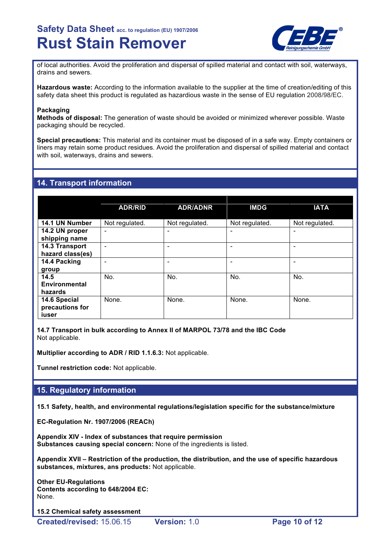

of local authorities. Avoid the proliferation and dispersal of spilled material and contact with soil, waterways, drains and sewers.

**Hazardous waste:** According to the information available to the supplier at the time of creation/editing of this safety data sheet this product is regulated as hazardious waste in the sense of EU regulation 2008/98/EC.

#### **Packaging**

**Methods of disposal:** The generation of waste should be avoided or minimized wherever possible. Waste packaging should be recycled.

**Special precautions:** This material and its container must be disposed of in a safe way. Empty containers or liners may retain some product residues. Avoid the proliferation and dispersal of spilled material and contact with soil, waterways, drains and sewers.

# **14. Transport information**

|                                          | <b>ADR/RID</b>           | <b>ADR/ADNR</b> | <b>IMDG</b>    | <b>IATA</b>              |
|------------------------------------------|--------------------------|-----------------|----------------|--------------------------|
| 14.1 UN Number                           | Not regulated.           | Not regulated.  | Not regulated. | Not regulated.           |
| 14.2 UN proper<br>shipping name          | $\overline{\phantom{0}}$ | -               |                | $\overline{\phantom{0}}$ |
| 14.3 Transport<br>hazard class(es)       | ۰                        | -               |                |                          |
| 14.4 Packing<br>group                    |                          |                 |                |                          |
| 14.5<br><b>Environmental</b><br>hazards  | No.                      | No.             | No.            | No.                      |
| 14.6 Special<br>precautions for<br>iuser | None.                    | None.           | None.          | None.                    |

**14.7 Transport in bulk according to Annex II of MARPOL 73/78 and the IBC Code** Not applicable.

**Multiplier according to ADR / RID 1.1.6.3:** Not applicable.

**Tunnel restriction code:** Not applicable.

# **15. Regulatory information**

**15.1 Safety, health, and environmental regulations/legislation specific for the substance/mixture**

**EC-Regulation Nr. 1907/2006 (REACh)**

**Appendix XIV - Index of substances that require permission Substances causing special concern:** None of the ingredients is listed.

**Appendix XVII – Restriction of the production, the distribution, and the use of specific hazardous substances, mixtures, ans products:** Not applicable.

**Other EU-Regulations Contents according to 648/2004 EC:** None.

**15.2 Chemical safety assessment**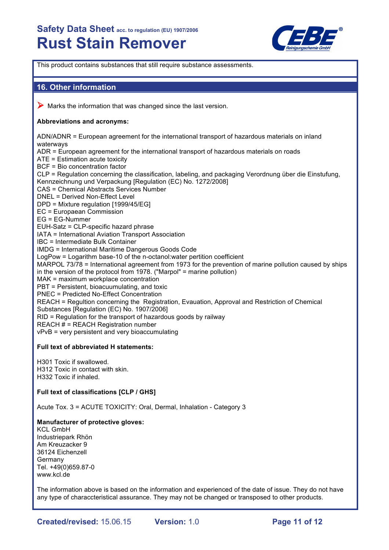

This product contains substances that still require substance assessments.

# **16. Other information**

 $\triangleright$  Marks the information that was changed since the last version.

## **Abbreviations and acronyms:**

ADN/ADNR = European agreement for the international transport of hazardous materials on inland waterways ADR = European agreement for the international transport of hazardous materials on roads ATE = Estimation acute toxicity BCF = Bio concentration factor CLP = Regulation concerning the classification, labeling, and packaging Verordnung über die Einstufung, Kennzeichnung und Verpackung [Regulation (EC) No. 1272/2008] CAS = Chemical Abstracts Services Number DNEL = Derived Non-Effect Level DPD = Mixture regulation [1999/45/EG] EC = Europaean Commission EG = EG-Nummer EUH-Satz = CLP-specific hazard phrase IATA = International Aviation Transport Association IBC = Intermediate Bulk Container IMDG = International Maritime Dangerous Goods Code LogPow = Logarithm base-10 of the n-octanol:water pertition coefficient MARPOL 73/78 = International agreement from 1973 for the prevention of marine pollution caused by ships in the version of the protocol from 1978. ("Marpol" = marine pollution) MAK = maximum workplace concentration PBT = Persistent, bioacuumulating, and toxic PNEC = Predicted No-Effect Concentration REACH = Regultion concerning the Registration, Evauation, Approval and Restriction of Chemical Substances [Regulation (EC) No. 1907/2006] RID = Regulation for the transport of hazardous goods by railway REACH # = REACH Registration number vPvB = very persistent and very bioaccumulating **Full text of abbreviated H statements:**

H301 Toxic if swallowed. H312 Toxic in contact with skin. H332 Toxic if inhaled.

## **Full text of classifications [CLP / GHS]**

Acute Tox. 3 = ACUTE TOXICITY: Oral, Dermal, Inhalation - Category 3

## **Manufacturer of protective gloves:**

KCL GmbH Industriepark Rhön Am Kreuzacker 9 36124 Eichenzell Germany Tel. +49(0)659.87-0 www.kcl.de

The information above is based on the information and experienced of the date of issue. They do not have any type of characcteristical assurance. They may not be changed or transposed to other products.